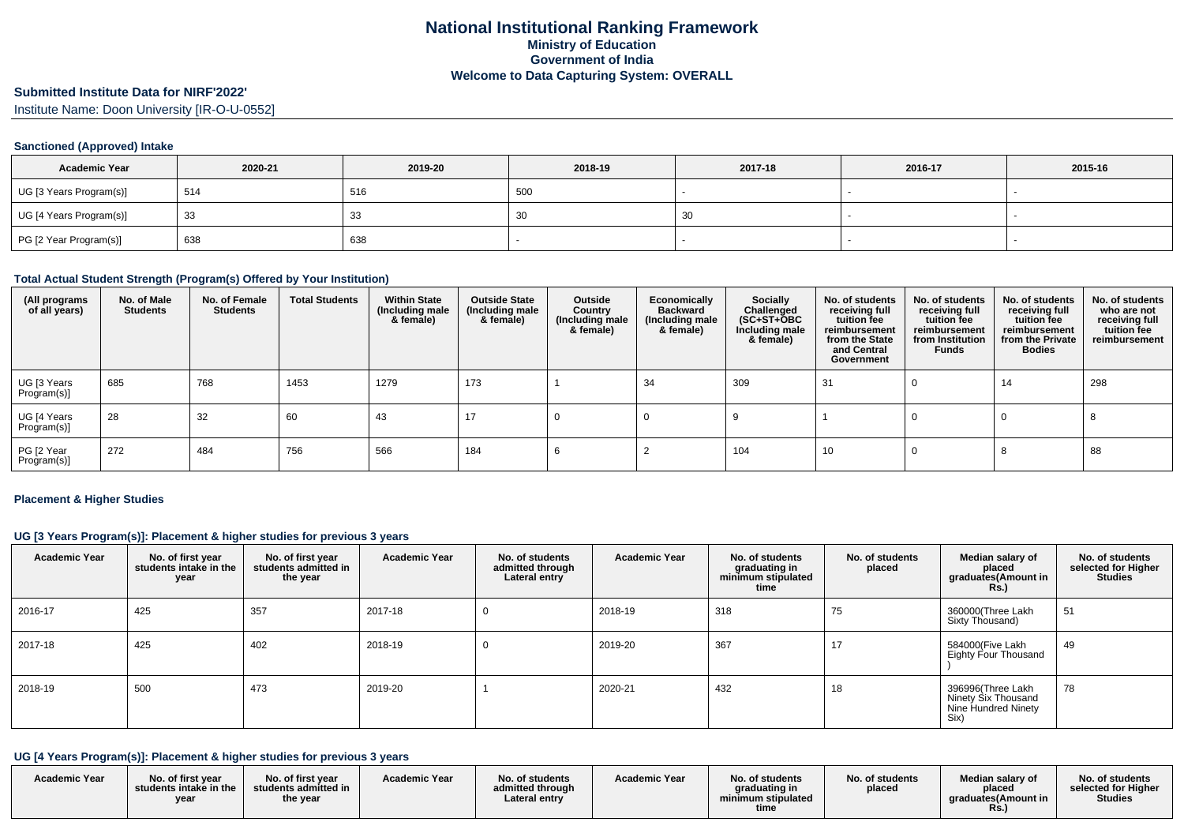#### **Submitted Institute Data for NIRF'2022'**

Institute Name: Doon University [IR-O-U-0552]

### **Sanctioned (Approved) Intake**

| <b>Academic Year</b>    | 2020-21 | 2019-20 | 2018-19 | 2017-18 | 2016-17 | 2015-16 |
|-------------------------|---------|---------|---------|---------|---------|---------|
| UG [3 Years Program(s)] | 514     | 516     | 500     |         |         |         |
| UG [4 Years Program(s)] | 33      | აა      | ັບເ     | ` 3∪    |         |         |
| PG [2 Year Program(s)]  | 638     | 638     |         |         |         |         |

### **Total Actual Student Strength (Program(s) Offered by Your Institution)**

| (All programs<br>of all years) | No. of Male<br><b>Students</b> | No. of Female<br><b>Students</b> | <b>Total Students</b> | <b>Within State</b><br>(Including male<br>& female) | <b>Outside State</b><br>(Including male<br>& female) | Outside<br>Country<br>Including male)<br>& female) | Economically<br><b>Backward</b><br>(Including male<br>& female) | <b>Socially</b><br>Challenged<br>$(SC+ST+\text{O}BC)$<br>Including male<br>& female) | No. of students<br>receiving full<br>tuition fee<br>reimbursement<br>from the State<br>and Central<br>Government | No. of students<br>receiving full<br>tuition fee<br>reimbursement<br>from Institution<br><b>Funds</b> | No. of students<br>receiving full<br>tuition fee<br>reimbursement<br>from the Private<br><b>Bodies</b> | No. of students<br>who are not<br>receiving full<br>tuition fee<br>reimbursement |
|--------------------------------|--------------------------------|----------------------------------|-----------------------|-----------------------------------------------------|------------------------------------------------------|----------------------------------------------------|-----------------------------------------------------------------|--------------------------------------------------------------------------------------|------------------------------------------------------------------------------------------------------------------|-------------------------------------------------------------------------------------------------------|--------------------------------------------------------------------------------------------------------|----------------------------------------------------------------------------------|
| UG [3 Years<br>Program(s)]     | 685                            | 768                              | 1453                  | 1279                                                | 173                                                  |                                                    | -34                                                             | 309                                                                                  | -31                                                                                                              |                                                                                                       | 14                                                                                                     | 298                                                                              |
| UG [4 Years<br>Program(s)]     | 28                             | 32                               | 60                    | 43                                                  | 17                                                   |                                                    |                                                                 |                                                                                      |                                                                                                                  |                                                                                                       |                                                                                                        |                                                                                  |
| PG [2 Year<br>Program(s)]      | 272                            | 484                              | 756                   | 566                                                 | 184                                                  |                                                    |                                                                 | 104                                                                                  | 10                                                                                                               |                                                                                                       | O                                                                                                      | 88                                                                               |

#### **Placement & Higher Studies**

### **UG [3 Years Program(s)]: Placement & higher studies for previous 3 years**

| <b>Academic Year</b> | No. of first year<br>students intake in the<br>year | No. of first year<br>students admitted in<br>the year | <b>Academic Year</b> | No. of students<br>admitted through<br>Lateral entry | <b>Academic Year</b> | No. of students<br>graduating in<br>minimum stipulated<br>time | No. of students<br>placed | Median salary of<br>placed<br>graduates(Amount in<br><b>Rs.)</b>        | No. of students<br>selected for Higher<br><b>Studies</b> |
|----------------------|-----------------------------------------------------|-------------------------------------------------------|----------------------|------------------------------------------------------|----------------------|----------------------------------------------------------------|---------------------------|-------------------------------------------------------------------------|----------------------------------------------------------|
| 2016-17              | 425                                                 | 357                                                   | 2017-18              |                                                      | 2018-19              | 318                                                            | 75                        | 360000(Three Lakh<br>Sixty Thousand)                                    | 51                                                       |
| 2017-18              | 425                                                 | 402                                                   | 2018-19              |                                                      | 2019-20              | 367                                                            | 17                        | 584000(Five Lakh<br>Eighty Four Thousand                                | 49                                                       |
| 2018-19              | 500                                                 | 473                                                   | 2019-20              |                                                      | 2020-21              | 432                                                            | 18                        | 396996(Three Lakh<br>Ninety Six Thousand<br>Nine Hundred Ninety<br>Six) | 78                                                       |

### **UG [4 Years Program(s)]: Placement & higher studies for previous 3 years**

| <b>Academic Year</b> | No. of first year<br>students intake in the<br>vear | No. of first year<br>students admitted in<br>the year | <b>Academic Year</b> | No. of students<br>admitted through<br>Lateral entry | <b>Academic Year</b> | No. of students<br>araduating in<br>minimum stipulated<br>time | No. of students<br>placed | Median salary of<br>placed<br>araduates(Amount in<br>KS.) | No. of students<br>selected for Higher<br><b>Studies</b> |
|----------------------|-----------------------------------------------------|-------------------------------------------------------|----------------------|------------------------------------------------------|----------------------|----------------------------------------------------------------|---------------------------|-----------------------------------------------------------|----------------------------------------------------------|
|----------------------|-----------------------------------------------------|-------------------------------------------------------|----------------------|------------------------------------------------------|----------------------|----------------------------------------------------------------|---------------------------|-----------------------------------------------------------|----------------------------------------------------------|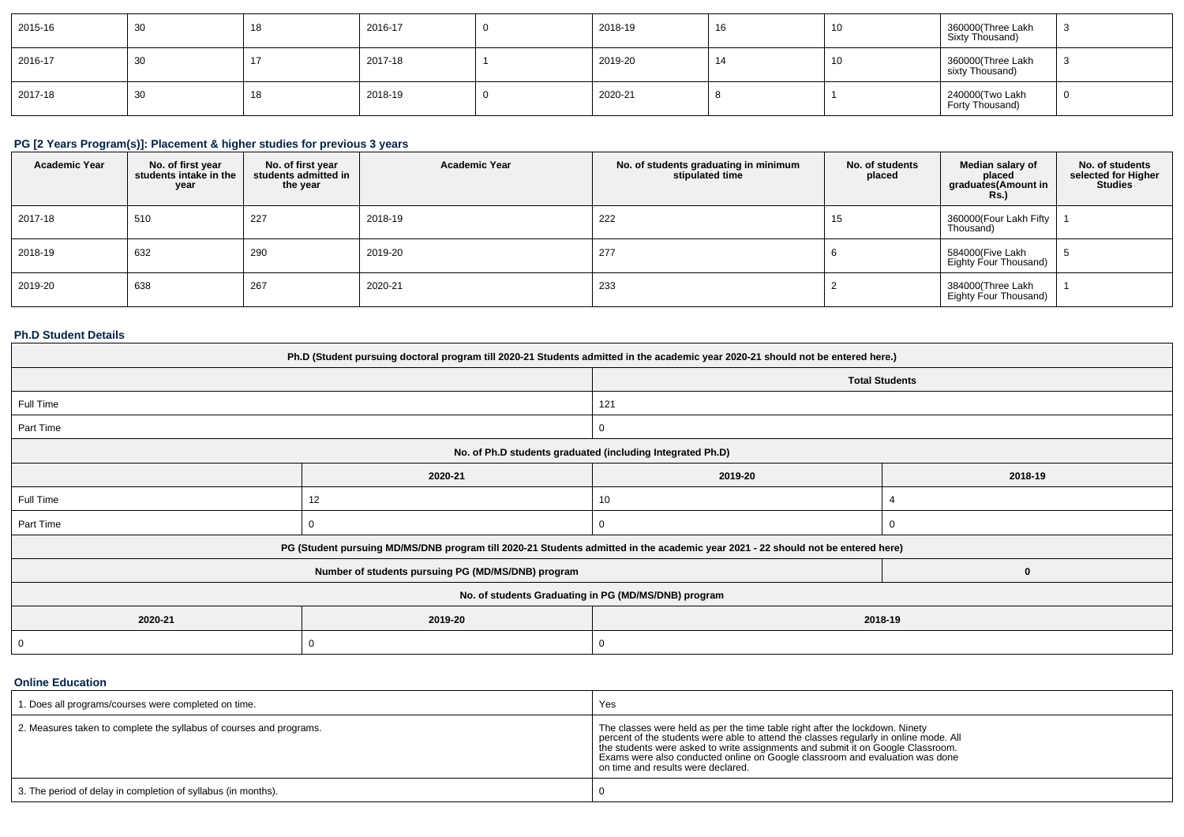| 2015-16 | 30 | 18 | 2016-17 | 2018-19 | 16 | 10 | 360000(Three Lakh<br>Sixty Thousand) |  |
|---------|----|----|---------|---------|----|----|--------------------------------------|--|
| 2016-17 | 30 |    | 2017-18 | 2019-20 | 14 | 10 | 360000(Three Lakh<br>sixty Thousand) |  |
| 2017-18 | 30 | 18 | 2018-19 | 2020-21 |    |    | 240000(Two Lakh<br>Forty Thousand)   |  |

## **PG [2 Years Program(s)]: Placement & higher studies for previous 3 years**

| <b>Academic Year</b> | No. of first year<br>students intake in the<br>year | No. of first vear<br>students admitted in<br>the year | <b>Academic Year</b> | No. of students graduating in minimum<br>stipulated time | No. of students<br>placed | Median salary of<br>placed<br>graduates (Amount in<br><b>Rs.</b> ) | No. of students<br>selected for Higher<br><b>Studies</b> |
|----------------------|-----------------------------------------------------|-------------------------------------------------------|----------------------|----------------------------------------------------------|---------------------------|--------------------------------------------------------------------|----------------------------------------------------------|
| 2017-18              | 510                                                 | 227                                                   | 2018-19              | 222                                                      | 15                        | 360000(Four Lakh Fifty<br>Thousand)                                |                                                          |
| 2018-19              | 632                                                 | 290                                                   | 2019-20              | 277                                                      |                           | 584000(Five Lakh<br>Eighty Four Thousand)                          |                                                          |
| 2019-20              | 638                                                 | 267                                                   | 2020-21              | 233                                                      |                           | 384000(Three Lakh<br>Eighty Four Thousand)                         |                                                          |

## **Ph.D Student Details**

| Ph.D (Student pursuing doctoral program till 2020-21 Students admitted in the academic year 2020-21 should not be entered here.) |                                                                                                                                  |                       |         |  |  |  |
|----------------------------------------------------------------------------------------------------------------------------------|----------------------------------------------------------------------------------------------------------------------------------|-----------------------|---------|--|--|--|
|                                                                                                                                  |                                                                                                                                  | <b>Total Students</b> |         |  |  |  |
| Full Time                                                                                                                        |                                                                                                                                  | 121                   |         |  |  |  |
| Part Time                                                                                                                        |                                                                                                                                  | $\mathbf{0}$          |         |  |  |  |
|                                                                                                                                  | No. of Ph.D students graduated (including Integrated Ph.D)                                                                       |                       |         |  |  |  |
|                                                                                                                                  | 2020-21                                                                                                                          | 2019-20               | 2018-19 |  |  |  |
| Full Time                                                                                                                        | 12                                                                                                                               | 10                    |         |  |  |  |
| Part Time                                                                                                                        |                                                                                                                                  |                       |         |  |  |  |
|                                                                                                                                  | PG (Student pursuing MD/MS/DNB program till 2020-21 Students admitted in the academic year 2021 - 22 should not be entered here) |                       |         |  |  |  |
|                                                                                                                                  | Number of students pursuing PG (MD/MS/DNB) program                                                                               |                       |         |  |  |  |
|                                                                                                                                  | No. of students Graduating in PG (MD/MS/DNB) program                                                                             |                       |         |  |  |  |
| 2020-21                                                                                                                          | 2019-20                                                                                                                          | 2018-19               |         |  |  |  |
|                                                                                                                                  |                                                                                                                                  | 0                     |         |  |  |  |

### **Online Education**

| 1. Does all programs/courses were completed on time.                | Yes                                                                                                                                                                                                                                                                                                                                                                            |
|---------------------------------------------------------------------|--------------------------------------------------------------------------------------------------------------------------------------------------------------------------------------------------------------------------------------------------------------------------------------------------------------------------------------------------------------------------------|
| 2. Measures taken to complete the syllabus of courses and programs. | The classes were held as per the time table right after the lockdown. Ninety<br>percent of the students were able to attend the classes regularly in online mode. All<br>the students were asked to write assignments and submit it on Google Classroom.<br>Exams were also conducted online on Google classroom and evaluation was done<br>on time and results were declared. |
| 3. The period of delay in completion of syllabus (in months).       |                                                                                                                                                                                                                                                                                                                                                                                |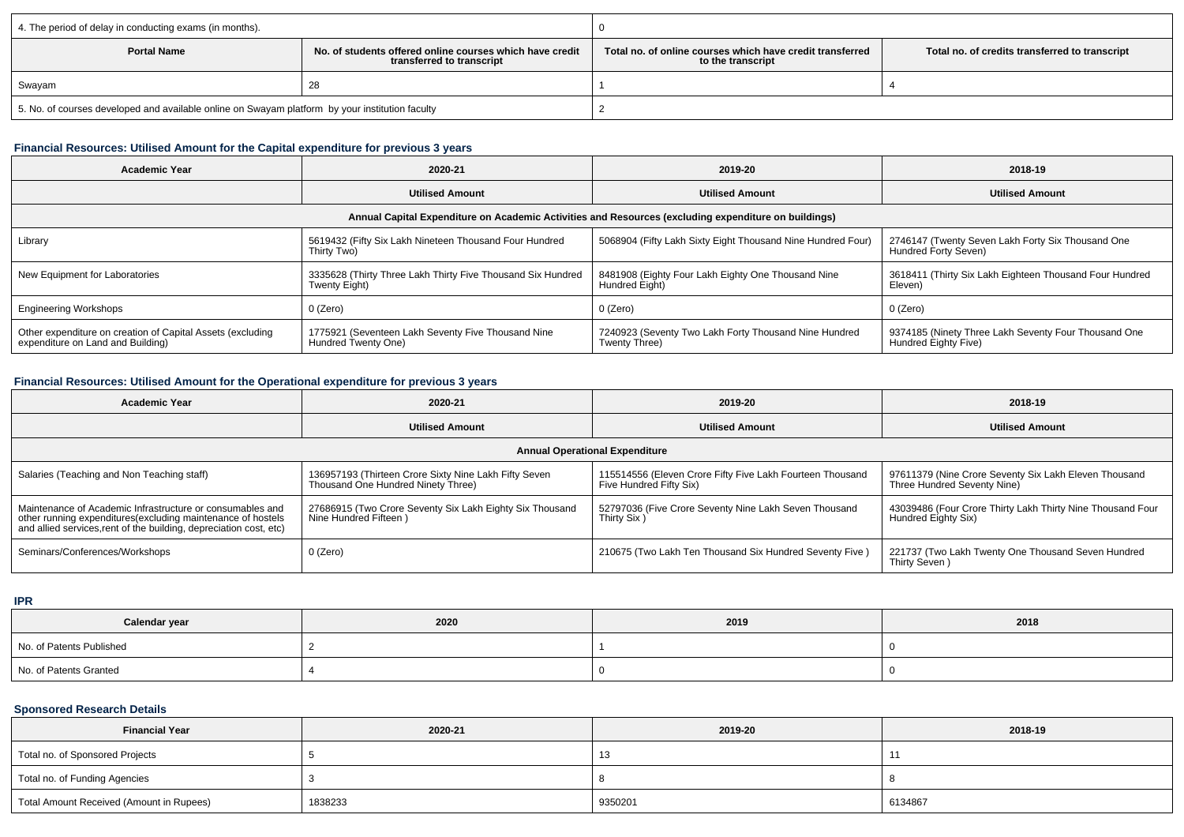| 4. The period of delay in conducting exams (in months).                                                     |  |                                                                                |                                                |  |  |
|-------------------------------------------------------------------------------------------------------------|--|--------------------------------------------------------------------------------|------------------------------------------------|--|--|
| No, of students offered online courses which have credit<br><b>Portal Name</b><br>transferred to transcript |  | Total no. of online courses which have credit transferred<br>to the transcript | Total no. of credits transferred to transcript |  |  |
| Swayam                                                                                                      |  |                                                                                |                                                |  |  |
| 5. No. of courses developed and available online on Swayam platform by your institution faculty             |  |                                                                                |                                                |  |  |

### **Financial Resources: Utilised Amount for the Capital expenditure for previous 3 years**

| <b>Academic Year</b>                                                                                 | 2020-21                                                                      | 2019-20                                                                | 2018-19                                                                      |  |  |  |  |
|------------------------------------------------------------------------------------------------------|------------------------------------------------------------------------------|------------------------------------------------------------------------|------------------------------------------------------------------------------|--|--|--|--|
|                                                                                                      | <b>Utilised Amount</b>                                                       | <b>Utilised Amount</b>                                                 | <b>Utilised Amount</b>                                                       |  |  |  |  |
| Annual Capital Expenditure on Academic Activities and Resources (excluding expenditure on buildings) |                                                                              |                                                                        |                                                                              |  |  |  |  |
| Library                                                                                              | 5619432 (Fifty Six Lakh Nineteen Thousand Four Hundred<br>Thirty Two)        | 5068904 (Fifty Lakh Sixty Eight Thousand Nine Hundred Four)            | 2746147 (Twenty Seven Lakh Forty Six Thousand One<br>Hundred Forty Seven)    |  |  |  |  |
| New Equipment for Laboratories                                                                       | 3335628 (Thirty Three Lakh Thirty Five Thousand Six Hundred<br>Twenty Eight) | 8481908 (Eighty Four Lakh Eighty One Thousand Nine<br>Hundred Eight)   | 3618411 (Thirty Six Lakh Eighteen Thousand Four Hundred<br>Eleven)           |  |  |  |  |
| <b>Engineering Workshops</b>                                                                         | 0 (Zero)                                                                     | 0 (Zero)                                                               | 0 (Zero)                                                                     |  |  |  |  |
| Other expenditure on creation of Capital Assets (excluding<br>expenditure on Land and Building)      | 1775921 (Seventeen Lakh Seventy Five Thousand Nine<br>Hundred Twenty One)    | 7240923 (Seventy Two Lakh Forty Thousand Nine Hundred<br>Twenty Three) | 9374185 (Ninety Three Lakh Seventy Four Thousand One<br>Hundred Eighty Five) |  |  |  |  |

## **Financial Resources: Utilised Amount for the Operational expenditure for previous 3 years**

| Academic Year                                                                                                                                                                                  | 2020-21                                                                                     | 2019-20                                                                              | 2018-19                                                                              |  |  |  |  |
|------------------------------------------------------------------------------------------------------------------------------------------------------------------------------------------------|---------------------------------------------------------------------------------------------|--------------------------------------------------------------------------------------|--------------------------------------------------------------------------------------|--|--|--|--|
|                                                                                                                                                                                                | <b>Utilised Amount</b>                                                                      | <b>Utilised Amount</b>                                                               | <b>Utilised Amount</b>                                                               |  |  |  |  |
| <b>Annual Operational Expenditure</b>                                                                                                                                                          |                                                                                             |                                                                                      |                                                                                      |  |  |  |  |
| Salaries (Teaching and Non Teaching staff)                                                                                                                                                     | 136957193 (Thirteen Crore Sixty Nine Lakh Fifty Seven<br>Thousand One Hundred Ninety Three) | 115514556 (Eleven Crore Fifty Five Lakh Fourteen Thousand<br>Five Hundred Fifty Six) | 97611379 (Nine Crore Seventy Six Lakh Eleven Thousand<br>Three Hundred Seventy Nine) |  |  |  |  |
| Maintenance of Academic Infrastructure or consumables and<br>other running expenditures(excluding maintenance of hostels<br>and allied services, rent of the building, depreciation cost, etc) | 27686915 (Two Crore Seventy Six Lakh Eighty Six Thousand<br>Nine Hundred Fifteen)           | 52797036 (Five Crore Seventy Nine Lakh Seven Thousand<br>Thirty Six)                 | 43039486 (Four Crore Thirty Lakh Thirty Nine Thousand Four<br>Hundred Eighty Six)    |  |  |  |  |
| Seminars/Conferences/Workshops                                                                                                                                                                 | 0 (Zero)                                                                                    | 210675 (Two Lakh Ten Thousand Six Hundred Seventy Five)                              | 221737 (Two Lakh Twenty One Thousand Seven Hundred<br>Thirty Seven)                  |  |  |  |  |

**IPR**

| Calendar year            | 2020 | 2019 | 2018 |
|--------------------------|------|------|------|
| No. of Patents Published |      |      |      |
| No. of Patents Granted   |      |      |      |

## **Sponsored Research Details**

| <b>Financial Year</b>                    | 2020-21 | 2019-20 | 2018-19 |
|------------------------------------------|---------|---------|---------|
| Total no. of Sponsored Projects          |         | ں ا     |         |
| Total no. of Funding Agencies            |         |         |         |
| Total Amount Received (Amount in Rupees) | 1838233 | 9350201 | 6134867 |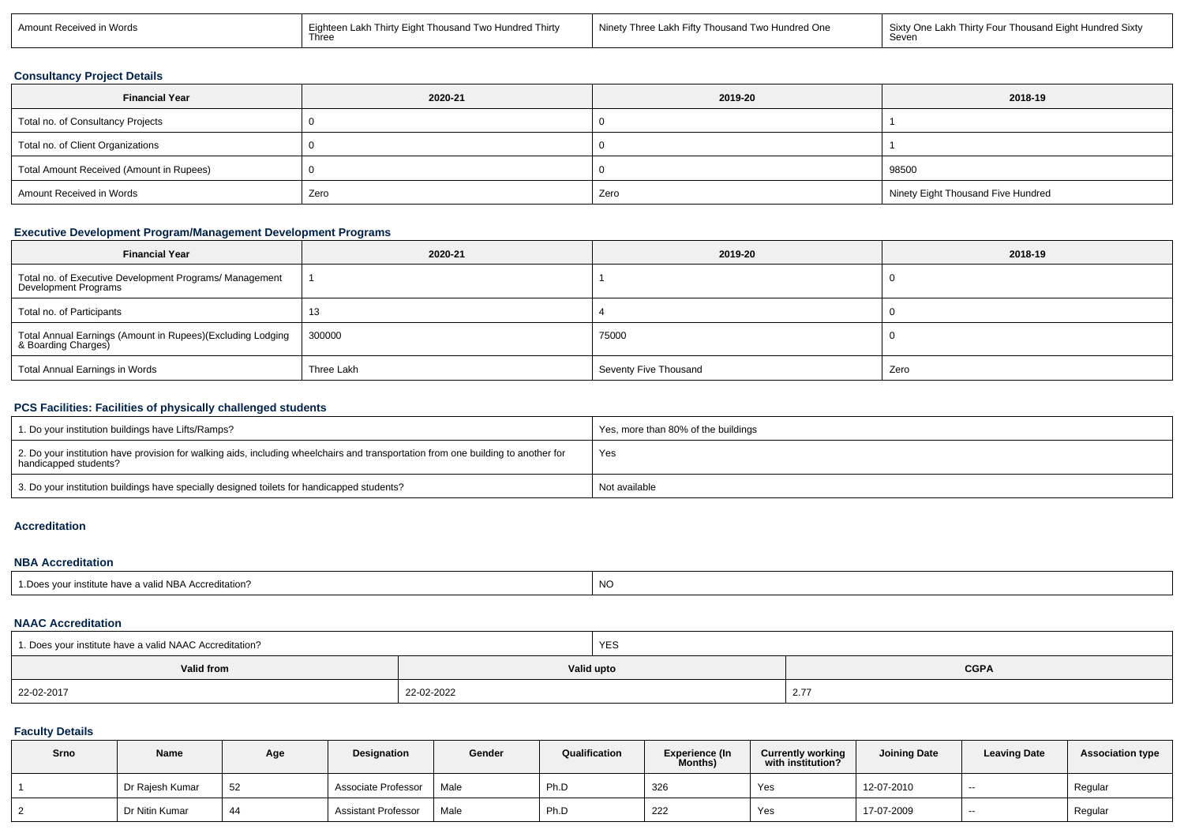| Two Hundred One<br>in Words<br>Three<br>Sixtv One<br>Two Hundred Thirty<br>Eighteen<br>l akh-<br>. ∟akh Fift∵`<br>Amount Rece<br>Thousand<br>√ Thousanr<br>Lakł<br>Seven<br>Three | aht Hundred Sixt<br>Thousand<br>Thirty Four |
|-----------------------------------------------------------------------------------------------------------------------------------------------------------------------------------|---------------------------------------------|
|-----------------------------------------------------------------------------------------------------------------------------------------------------------------------------------|---------------------------------------------|

### **Consultancy Project Details**

| <b>Financial Year</b>                    | 2020-21 | 2019-20 | 2018-19                            |
|------------------------------------------|---------|---------|------------------------------------|
| Total no. of Consultancy Projects        |         |         |                                    |
| Total no. of Client Organizations        |         |         |                                    |
| Total Amount Received (Amount in Rupees) |         |         | 98500                              |
| Amount Received in Words                 | Zero    | Zero    | Ninety Eight Thousand Five Hundred |

## **Executive Development Program/Management Development Programs**

| <b>Financial Year</b>                                                             | 2020-21    | 2019-20               | 2018-19 |
|-----------------------------------------------------------------------------------|------------|-----------------------|---------|
| Total no. of Executive Development Programs/ Management<br>Development Programs   |            |                       |         |
| Total no. of Participants                                                         |            |                       |         |
| Total Annual Earnings (Amount in Rupees)(Excluding Lodging<br>& Boarding Charges) | 300000     | 75000                 |         |
| Total Annual Earnings in Words                                                    | Three Lakh | Seventy Five Thousand | Zero    |

### **PCS Facilities: Facilities of physically challenged students**

| 1. Do your institution buildings have Lifts/Ramps?                                                                                                         | Yes, more than 80% of the buildings |
|------------------------------------------------------------------------------------------------------------------------------------------------------------|-------------------------------------|
| 2. Do your institution have provision for walking aids, including wheelchairs and transportation from one building to another for<br>handicapped students? | Yes                                 |
| 3. Do your institution buildings have specially designed toilets for handicapped students?                                                                 | Not available                       |

#### **Accreditation**

### **NBA Accreditation**

| itute have a valid NBA Acc<br>l Does vour institi<br>editation <sup>.</sup> | $\overline{M}$<br><b>INC</b> |
|-----------------------------------------------------------------------------|------------------------------|
|-----------------------------------------------------------------------------|------------------------------|

#### **NAAC Accreditation**

| 1. Does your institute have a valid NAAC Accreditation? |            | YES        |                                  |
|---------------------------------------------------------|------------|------------|----------------------------------|
| Valid from                                              |            | Valid upto | <b>CGPA</b>                      |
| 22-02-2017                                              | 22-02-2022 |            | $\sim$ $\sim$<br>$\mathcal{L}$ . |

# **Faculty Details**

| Srno | Name            | Age | <b>Designation</b>         | Gender | Qualification  | <b>Experience (In</b><br>Months) | <b>Currently working</b><br>with institution? | <b>Joining Date</b> | <b>Leaving Date</b> | <b>Association type</b> |
|------|-----------------|-----|----------------------------|--------|----------------|----------------------------------|-----------------------------------------------|---------------------|---------------------|-------------------------|
|      | Dr Rajesh Kumar | 52  | Associate Professor        | Male   | Ph.D           | 326                              | Yes                                           | 12-07-2010          | $-$                 | Regular                 |
|      | Dr Nitin Kumar  | 44  | <b>Assistant Professor</b> | Male   | $\sim$<br>Ph.D | 222                              | Yes                                           | 17-07-2009          | $-$                 | Regular                 |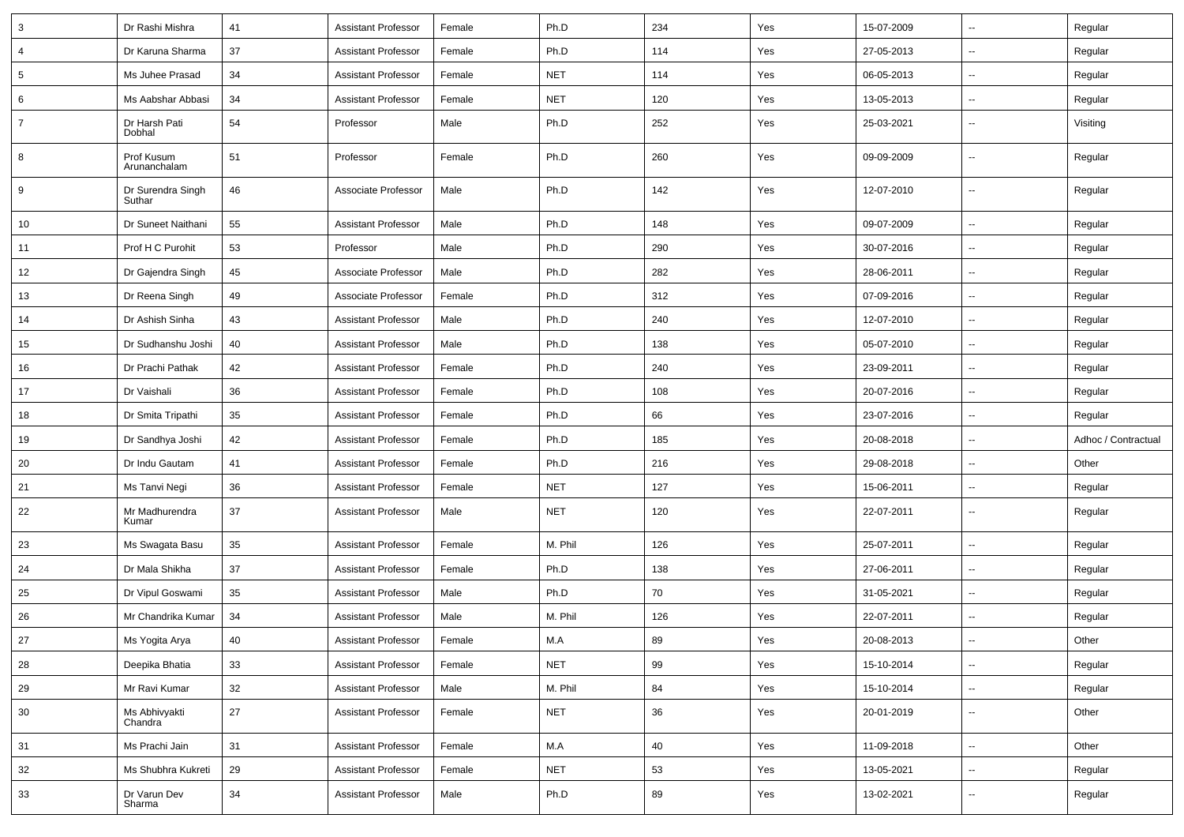| 3              | Dr Rashi Mishra             | 41 | <b>Assistant Professor</b> | Female | Ph.D       | 234 | Yes | 15-07-2009 | $\sim$                   | Regular             |
|----------------|-----------------------------|----|----------------------------|--------|------------|-----|-----|------------|--------------------------|---------------------|
| $\overline{4}$ | Dr Karuna Sharma            | 37 | <b>Assistant Professor</b> | Female | Ph.D       | 114 | Yes | 27-05-2013 | ш.                       | Regular             |
| 5              | Ms Juhee Prasad             | 34 | <b>Assistant Professor</b> | Female | <b>NET</b> | 114 | Yes | 06-05-2013 | $\sim$                   | Regular             |
| 6              | Ms Aabshar Abbasi           | 34 | <b>Assistant Professor</b> | Female | <b>NET</b> | 120 | Yes | 13-05-2013 | $\overline{\phantom{a}}$ | Regular             |
| $\overline{7}$ | Dr Harsh Pati<br>Dobhal     | 54 | Professor                  | Male   | Ph.D       | 252 | Yes | 25-03-2021 | Ξ.                       | Visiting            |
| 8              | Prof Kusum<br>Arunanchalam  | 51 | Professor                  | Female | Ph.D       | 260 | Yes | 09-09-2009 | ш,                       | Regular             |
| 9              | Dr Surendra Singh<br>Suthar | 46 | Associate Professor        | Male   | Ph.D       | 142 | Yes | 12-07-2010 | ш.                       | Regular             |
| 10             | Dr Suneet Naithani          | 55 | <b>Assistant Professor</b> | Male   | Ph.D       | 148 | Yes | 09-07-2009 | u.                       | Regular             |
| 11             | Prof H C Purohit            | 53 | Professor                  | Male   | Ph.D       | 290 | Yes | 30-07-2016 | $\sim$                   | Regular             |
| 12             | Dr Gajendra Singh           | 45 | Associate Professor        | Male   | Ph.D       | 282 | Yes | 28-06-2011 | $\sim$                   | Regular             |
| 13             | Dr Reena Singh              | 49 | Associate Professor        | Female | Ph.D       | 312 | Yes | 07-09-2016 | Ξ.                       | Regular             |
| 14             | Dr Ashish Sinha             | 43 | <b>Assistant Professor</b> | Male   | Ph.D       | 240 | Yes | 12-07-2010 | $\sim$                   | Regular             |
| 15             | Dr Sudhanshu Joshi          | 40 | <b>Assistant Professor</b> | Male   | Ph.D       | 138 | Yes | 05-07-2010 | $\overline{\phantom{a}}$ | Regular             |
| 16             | Dr Prachi Pathak            | 42 | <b>Assistant Professor</b> | Female | Ph.D       | 240 | Yes | 23-09-2011 | ш.                       | Regular             |
| 17             | Dr Vaishali                 | 36 | <b>Assistant Professor</b> | Female | Ph.D       | 108 | Yes | 20-07-2016 | $\sim$                   | Regular             |
| 18             | Dr Smita Tripathi           | 35 | <b>Assistant Professor</b> | Female | Ph.D       | 66  | Yes | 23-07-2016 | $\sim$                   | Regular             |
| 19             | Dr Sandhya Joshi            | 42 | <b>Assistant Professor</b> | Female | Ph.D       | 185 | Yes | 20-08-2018 | ш.                       | Adhoc / Contractual |
| 20             | Dr Indu Gautam              | 41 | <b>Assistant Professor</b> | Female | Ph.D       | 216 | Yes | 29-08-2018 | $\sim$                   | Other               |
| 21             | Ms Tanvi Negi               | 36 | <b>Assistant Professor</b> | Female | <b>NET</b> | 127 | Yes | 15-06-2011 | $\overline{\phantom{a}}$ | Regular             |
| 22             | Mr Madhurendra<br>Kumar     | 37 | <b>Assistant Professor</b> | Male   | <b>NET</b> | 120 | Yes | 22-07-2011 | Ξ.                       | Regular             |
| 23             | Ms Swagata Basu             | 35 | <b>Assistant Professor</b> | Female | M. Phil    | 126 | Yes | 25-07-2011 | u.                       | Regular             |
| 24             | Dr Mala Shikha              | 37 | <b>Assistant Professor</b> | Female | Ph.D       | 138 | Yes | 27-06-2011 | $\sim$                   | Regular             |
| 25             | Dr Vipul Goswami            | 35 | <b>Assistant Professor</b> | Male   | Ph.D       | 70  | Yes | 31-05-2021 | $\sim$                   | Regular             |
| 26             | Mr Chandrika Kumar          | 34 | <b>Assistant Professor</b> | Male   | M. Phil    | 126 | Yes | 22-07-2011 | Щ,                       | Regular             |
| 27             | Ms Yogita Arya              | 40 | <b>Assistant Professor</b> | Female | M.A        | 89  | Yes | 20-08-2013 | $\sim$                   | Other               |
| 28             | Deepika Bhatia              | 33 | <b>Assistant Professor</b> | Female | <b>NET</b> | 99  | Yes | 15-10-2014 | ш.                       | Regular             |
| 29             | Mr Ravi Kumar               | 32 | <b>Assistant Professor</b> | Male   | M. Phil    | 84  | Yes | 15-10-2014 | u.                       | Regular             |
| 30             | Ms Abhivyakti<br>Chandra    | 27 | <b>Assistant Professor</b> | Female | <b>NET</b> | 36  | Yes | 20-01-2019 | ш.                       | Other               |
| 31             | Ms Prachi Jain              | 31 | <b>Assistant Professor</b> | Female | M.A        | 40  | Yes | 11-09-2018 | ш.                       | Other               |
| 32             | Ms Shubhra Kukreti          | 29 | <b>Assistant Professor</b> | Female | <b>NET</b> | 53  | Yes | 13-05-2021 | $\sim$                   | Regular             |
| 33             | Dr Varun Dev<br>Sharma      | 34 | <b>Assistant Professor</b> | Male   | Ph.D       | 89  | Yes | 13-02-2021 | Щ,                       | Regular             |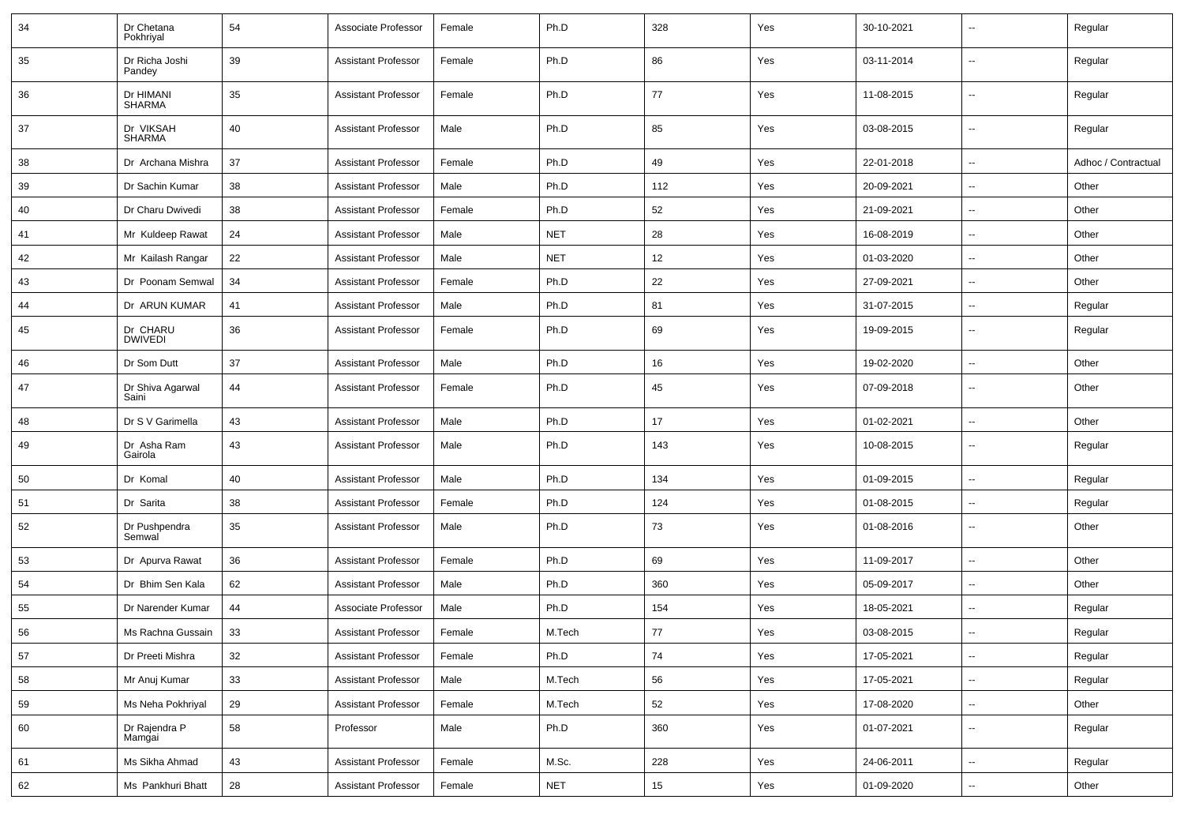| 34 | Dr Chetana<br>Pokhriyal    | 54 | Associate Professor        | Female | Ph.D       | 328 | Yes | 30-10-2021 |                          | Regular             |
|----|----------------------------|----|----------------------------|--------|------------|-----|-----|------------|--------------------------|---------------------|
| 35 | Dr Richa Joshi<br>Pandey   | 39 | <b>Assistant Professor</b> | Female | Ph.D       | 86  | Yes | 03-11-2014 | ۰.                       | Regular             |
| 36 | Dr HIMANI<br><b>SHARMA</b> | 35 | <b>Assistant Professor</b> | Female | Ph.D       | 77  | Yes | 11-08-2015 | --                       | Regular             |
| 37 | Dr VIKSAH<br>SHARMA        | 40 | <b>Assistant Professor</b> | Male   | Ph.D       | 85  | Yes | 03-08-2015 | --                       | Regular             |
| 38 | Dr Archana Mishra          | 37 | <b>Assistant Professor</b> | Female | Ph.D       | 49  | Yes | 22-01-2018 | --                       | Adhoc / Contractual |
| 39 | Dr Sachin Kumar            | 38 | <b>Assistant Professor</b> | Male   | Ph.D       | 112 | Yes | 20-09-2021 | $\overline{\phantom{a}}$ | Other               |
| 40 | Dr Charu Dwivedi           | 38 | <b>Assistant Professor</b> | Female | Ph.D       | 52  | Yes | 21-09-2021 | $\overline{\phantom{a}}$ | Other               |
| 41 | Mr Kuldeep Rawat           | 24 | <b>Assistant Professor</b> | Male   | <b>NET</b> | 28  | Yes | 16-08-2019 | $\overline{\phantom{a}}$ | Other               |
| 42 | Mr Kailash Rangar          | 22 | <b>Assistant Professor</b> | Male   | <b>NET</b> | 12  | Yes | 01-03-2020 | $\overline{\phantom{a}}$ | Other               |
| 43 | Dr Poonam Semwal           | 34 | <b>Assistant Professor</b> | Female | Ph.D       | 22  | Yes | 27-09-2021 | $\overline{\phantom{a}}$ | Other               |
| 44 | Dr ARUN KUMAR              | 41 | <b>Assistant Professor</b> | Male   | Ph.D       | 81  | Yes | 31-07-2015 | --                       | Regular             |
| 45 | Dr CHARU<br><b>DWIVEDI</b> | 36 | <b>Assistant Professor</b> | Female | Ph.D       | 69  | Yes | 19-09-2015 | $\overline{\phantom{a}}$ | Regular             |
| 46 | Dr Som Dutt                | 37 | <b>Assistant Professor</b> | Male   | Ph.D       | 16  | Yes | 19-02-2020 | $\overline{\phantom{a}}$ | Other               |
| 47 | Dr Shiva Agarwal<br>Saini  | 44 | <b>Assistant Professor</b> | Female | Ph.D       | 45  | Yes | 07-09-2018 | $\overline{\phantom{a}}$ | Other               |
| 48 | Dr S V Garimella           | 43 | <b>Assistant Professor</b> | Male   | Ph.D       | 17  | Yes | 01-02-2021 | $\overline{\phantom{a}}$ | Other               |
| 49 | Dr Asha Ram<br>Gairola     | 43 | <b>Assistant Professor</b> | Male   | Ph.D       | 143 | Yes | 10-08-2015 | --                       | Regular             |
| 50 | Dr Komal                   | 40 | <b>Assistant Professor</b> | Male   | Ph.D       | 134 | Yes | 01-09-2015 | Ξ.                       | Regular             |
| 51 | Dr Sarita                  | 38 | <b>Assistant Professor</b> | Female | Ph.D       | 124 | Yes | 01-08-2015 | $\overline{\phantom{a}}$ | Regular             |
| 52 | Dr Pushpendra<br>Semwal    | 35 | <b>Assistant Professor</b> | Male   | Ph.D       | 73  | Yes | 01-08-2016 | ۰.                       | Other               |
| 53 | Dr Apurva Rawat            | 36 | <b>Assistant Professor</b> | Female | Ph.D       | 69  | Yes | 11-09-2017 | u.                       | Other               |
| 54 | Dr Bhim Sen Kala           | 62 | <b>Assistant Professor</b> | Male   | Ph.D       | 360 | Yes | 05-09-2017 | --                       | Other               |
| 55 | Dr Narender Kumar          | 44 | Associate Professor        | Male   | Ph.D       | 154 | Yes | 18-05-2021 | $\overline{\phantom{a}}$ | Regular             |
| 56 | Ms Rachna Gussain          | 33 | <b>Assistant Professor</b> | Female | M.Tech     | 77  | Yes | 03-08-2015 |                          | Regular             |
| 57 | Dr Preeti Mishra           | 32 | <b>Assistant Professor</b> | Female | Ph.D       | 74  | Yes | 17-05-2021 | Ξ.                       | Regular             |
| 58 | Mr Anuj Kumar              | 33 | <b>Assistant Professor</b> | Male   | M.Tech     | 56  | Yes | 17-05-2021 | Ξ.                       | Regular             |
| 59 | Ms Neha Pokhriyal          | 29 | <b>Assistant Professor</b> | Female | M.Tech     | 52  | Yes | 17-08-2020 | щ.                       | Other               |
| 60 | Dr Rajendra P<br>Mamgai    | 58 | Professor                  | Male   | Ph.D       | 360 | Yes | 01-07-2021 | Ξ.                       | Regular             |
| 61 | Ms Sikha Ahmad             | 43 | <b>Assistant Professor</b> | Female | M.Sc.      | 228 | Yes | 24-06-2011 | Ξ.                       | Regular             |
| 62 | Ms Pankhuri Bhatt          | 28 | <b>Assistant Professor</b> | Female | <b>NET</b> | 15  | Yes | 01-09-2020 | Ξ.                       | Other               |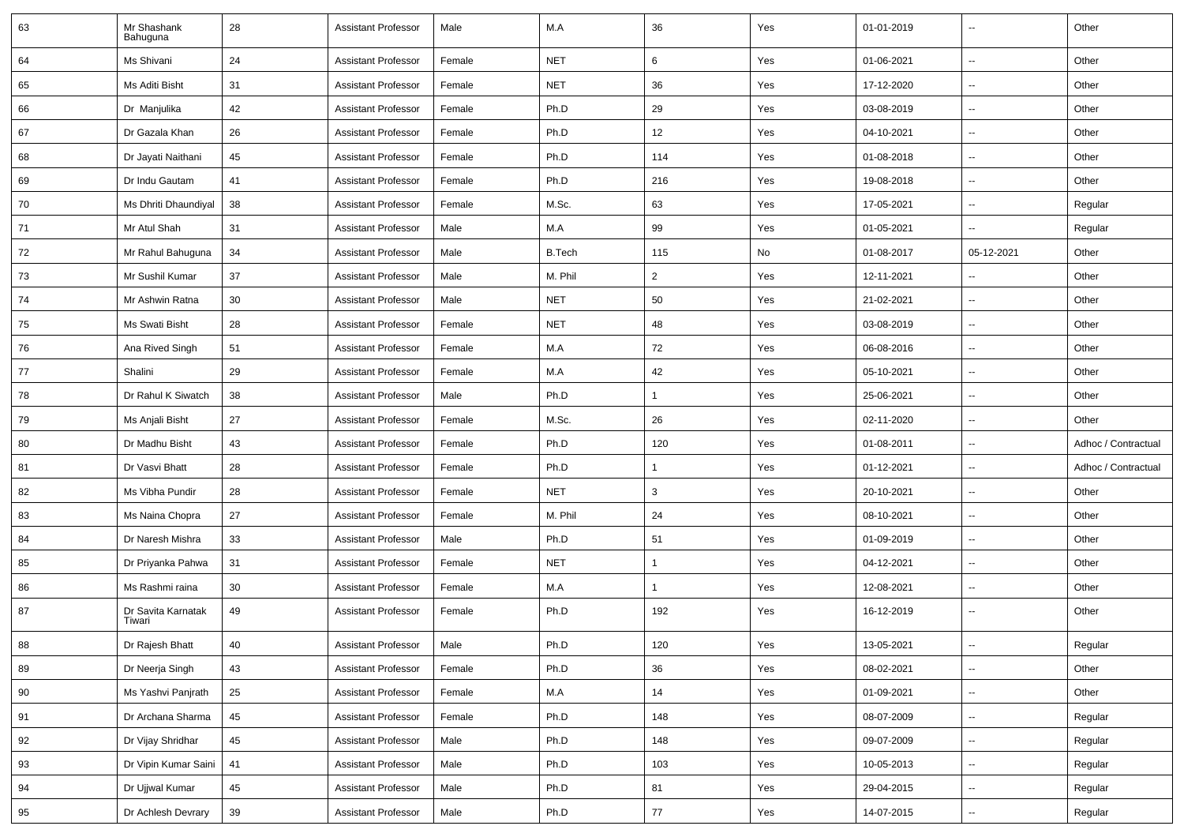| 63 | Mr Shashank<br>Bahuguna      | 28 | <b>Assistant Professor</b> | Male   | M.A           | 36             | Yes | 01-01-2019 | $\overline{\phantom{a}}$ | Other               |
|----|------------------------------|----|----------------------------|--------|---------------|----------------|-----|------------|--------------------------|---------------------|
| 64 | Ms Shivani                   | 24 | <b>Assistant Professor</b> | Female | <b>NET</b>    | 6              | Yes | 01-06-2021 | $\sim$                   | Other               |
| 65 | Ms Aditi Bisht               | 31 | <b>Assistant Professor</b> | Female | <b>NET</b>    | 36             | Yes | 17-12-2020 | н.                       | Other               |
| 66 | Dr Manjulika                 | 42 | <b>Assistant Professor</b> | Female | Ph.D          | 29             | Yes | 03-08-2019 | Ξ.                       | Other               |
| 67 | Dr Gazala Khan               | 26 | <b>Assistant Professor</b> | Female | Ph.D          | 12             | Yes | 04-10-2021 | -−                       | Other               |
| 68 | Dr Jayati Naithani           | 45 | <b>Assistant Professor</b> | Female | Ph.D          | 114            | Yes | 01-08-2018 | -−                       | Other               |
| 69 | Dr Indu Gautam               | 41 | <b>Assistant Professor</b> | Female | Ph.D          | 216            | Yes | 19-08-2018 | $\mathbf{u}$             | Other               |
| 70 | Ms Dhriti Dhaundiyal         | 38 | <b>Assistant Professor</b> | Female | M.Sc.         | 63             | Yes | 17-05-2021 | $\sim$                   | Regular             |
| 71 | Mr Atul Shah                 | 31 | <b>Assistant Professor</b> | Male   | M.A           | 99             | Yes | 01-05-2021 | -−                       | Regular             |
| 72 | Mr Rahul Bahuguna            | 34 | <b>Assistant Professor</b> | Male   | <b>B.Tech</b> | 115            | No  | 01-08-2017 | 05-12-2021               | Other               |
| 73 | Mr Sushil Kumar              | 37 | <b>Assistant Professor</b> | Male   | M. Phil       | $\overline{2}$ | Yes | 12-11-2021 |                          | Other               |
| 74 | Mr Ashwin Ratna              | 30 | <b>Assistant Professor</b> | Male   | <b>NET</b>    | 50             | Yes | 21-02-2021 | $\overline{a}$           | Other               |
| 75 | Ms Swati Bisht               | 28 | <b>Assistant Professor</b> | Female | <b>NET</b>    | 48             | Yes | 03-08-2019 | $\mathbf{u}$             | Other               |
| 76 | Ana Rived Singh              | 51 | <b>Assistant Professor</b> | Female | M.A           | 72             | Yes | 06-08-2016 | Ξ.                       | Other               |
| 77 | Shalini                      | 29 | <b>Assistant Professor</b> | Female | M.A           | 42             | Yes | 05-10-2021 | ⊷.                       | Other               |
| 78 | Dr Rahul K Siwatch           | 38 | <b>Assistant Professor</b> | Male   | Ph.D          | $\mathbf{1}$   | Yes | 25-06-2021 | $\mathbf{u}$             | Other               |
| 79 | Ms Anjali Bisht              | 27 | <b>Assistant Professor</b> | Female | M.Sc.         | 26             | Yes | 02-11-2020 | $\overline{\phantom{a}}$ | Other               |
| 80 | Dr Madhu Bisht               | 43 | <b>Assistant Professor</b> | Female | Ph.D          | 120            | Yes | 01-08-2011 | $\overline{a}$           | Adhoc / Contractual |
| 81 | Dr Vasvi Bhatt               | 28 | <b>Assistant Professor</b> | Female | Ph.D          | $\mathbf{1}$   | Yes | 01-12-2021 | $\overline{a}$           | Adhoc / Contractual |
| 82 | Ms Vibha Pundir              | 28 | <b>Assistant Professor</b> | Female | <b>NET</b>    | 3              | Yes | 20-10-2021 | $\sim$                   | Other               |
| 83 | Ms Naina Chopra              | 27 | <b>Assistant Professor</b> | Female | M. Phil       | 24             | Yes | 08-10-2021 | ⊷.                       | Other               |
| 84 | Dr Naresh Mishra             | 33 | <b>Assistant Professor</b> | Male   | Ph.D          | 51             | Yes | 01-09-2019 | -−                       | Other               |
| 85 | Dr Priyanka Pahwa            | 31 | <b>Assistant Professor</b> | Female | <b>NET</b>    |                | Yes | 04-12-2021 | -−                       | Other               |
| 86 | Ms Rashmi raina              | 30 | <b>Assistant Professor</b> | Female | M.A           | $\mathbf{1}$   | Yes | 12-08-2021 | $\overline{a}$           | Other               |
| 87 | Dr Savita Karnatak<br>Tiwari | 49 | <b>Assistant Professor</b> | Female | Ph.D          | 192            | Yes | 16-12-2019 | $\overline{\phantom{a}}$ | Other               |
| 88 | Dr Rajesh Bhatt              | 40 | Assistant Professor        | Male   | Ph.D          | $120\,$        | Yes | 13-05-2021 |                          | Regular             |
| 89 | Dr Neerja Singh              | 43 | <b>Assistant Professor</b> | Female | Ph.D          | 36             | Yes | 08-02-2021 | $\overline{\phantom{a}}$ | Other               |
| 90 | Ms Yashvi Panjrath           | 25 | Assistant Professor        | Female | M.A           | 14             | Yes | 01-09-2021 | $\overline{\phantom{a}}$ | Other               |
| 91 | Dr Archana Sharma            | 45 | <b>Assistant Professor</b> | Female | Ph.D          | 148            | Yes | 08-07-2009 | н.                       | Regular             |
| 92 | Dr Vijay Shridhar            | 45 | <b>Assistant Professor</b> | Male   | Ph.D          | 148            | Yes | 09-07-2009 | $\sim$                   | Regular             |
| 93 | Dr Vipin Kumar Saini         | 41 | <b>Assistant Professor</b> | Male   | Ph.D          | 103            | Yes | 10-05-2013 | ш.                       | Regular             |
| 94 | Dr Ujjwal Kumar              | 45 | <b>Assistant Professor</b> | Male   | Ph.D          | 81             | Yes | 29-04-2015 | $\overline{\phantom{a}}$ | Regular             |
| 95 | Dr Achlesh Devrary           | 39 | <b>Assistant Professor</b> | Male   | Ph.D          | 77             | Yes | 14-07-2015 | $\sim$                   | Regular             |